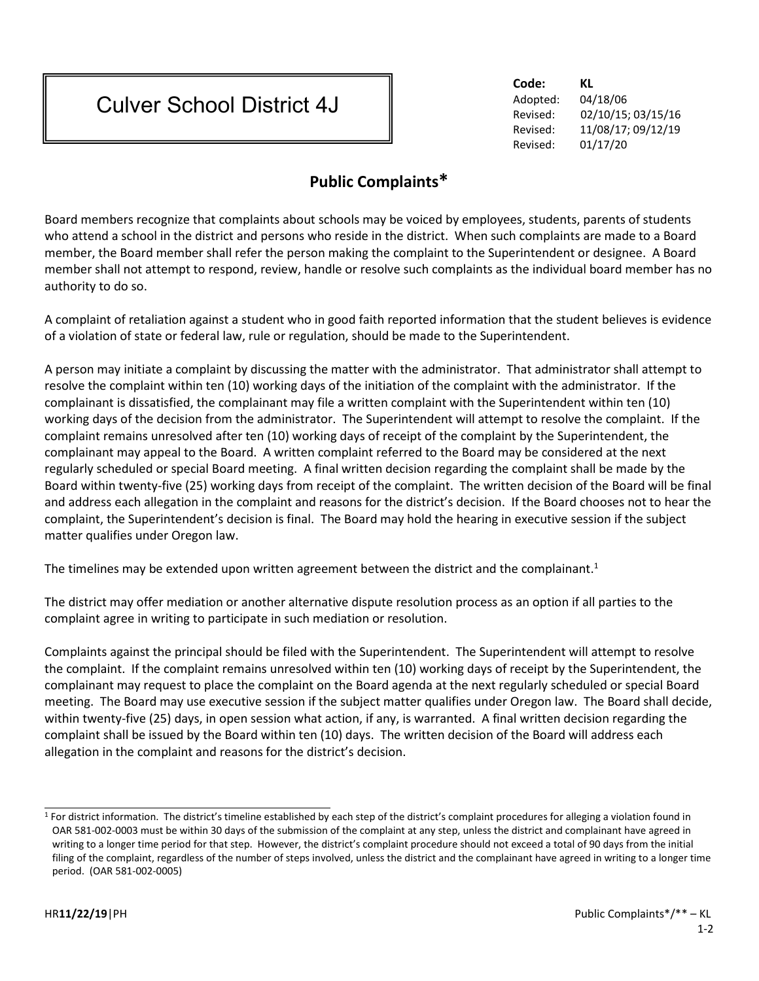## Culver School District 4J

**Code: KL** Adopted: 04/18/06 Revised: 02/10/15; 03/15/16 Revised: 11/08/17; 09/12/19 Revised: 01/17/20

## **Public Complaints\***

Board members recognize that complaints about schools may be voiced by employees, students, parents of students who attend a school in the district and persons who reside in the district. When such complaints are made to a Board member, the Board member shall refer the person making the complaint to the Superintendent or designee. A Board member shall not attempt to respond, review, handle or resolve such complaints as the individual board member has no authority to do so.

A complaint of retaliation against a student who in good faith reported information that the student believes is evidence of a violation of state or federal law, rule or regulation, should be made to the Superintendent.

A person may initiate a complaint by discussing the matter with the administrator. That administrator shall attempt to resolve the complaint within ten (10) working days of the initiation of the complaint with the administrator. If the complainant is dissatisfied, the complainant may file a written complaint with the Superintendent within ten (10) working days of the decision from the administrator. The Superintendent will attempt to resolve the complaint. If the complaint remains unresolved after ten (10) working days of receipt of the complaint by the Superintendent, the complainant may appeal to the Board. A written complaint referred to the Board may be considered at the next regularly scheduled or special Board meeting. A final written decision regarding the complaint shall be made by the Board within twenty-five (25) working days from receipt of the complaint. The written decision of the Board will be final and address each allegation in the complaint and reasons for the district's decision. If the Board chooses not to hear the complaint, the Superintendent's decision is final. The Board may hold the hearing in executive session if the subject matter qualifies under Oregon law.

The timelines may be extended upon written agreement between the district and the complainant.<sup>1</sup>

The district may offer mediation or another alternative dispute resolution process as an option if all parties to the complaint agree in writing to participate in such mediation or resolution.

Complaints against the principal should be filed with the Superintendent. The Superintendent will attempt to resolve the complaint. If the complaint remains unresolved within ten (10) working days of receipt by the Superintendent, the complainant may request to place the complaint on the Board agenda at the next regularly scheduled or special Board meeting. The Board may use executive session if the subject matter qualifies under Oregon law. The Board shall decide, within twenty-five (25) days, in open session what action, if any, is warranted. A final written decision regarding the complaint shall be issued by the Board within ten (10) days. The written decision of the Board will address each allegation in the complaint and reasons for the district's decision.

<sup>&</sup>lt;sup>1</sup> For district information. The district's timeline established by each step of the district's complaint procedures for alleging a violation found in OAR 581-002-0003 must be within 30 days of the submission of the complaint at any step, unless the district and complainant have agreed in writing to a longer time period for that step. However, the district's complaint procedure should not exceed a total of 90 days from the initial filing of the complaint, regardless of the number of steps involved, unless the district and the complainant have agreed in writing to a longer time period. (OAR 581-002-0005)